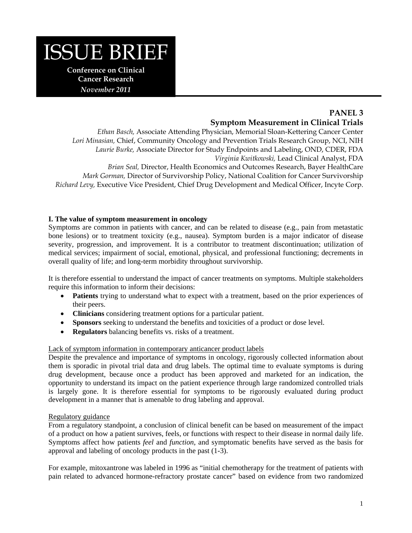

*November 2011* 

# **PANEL 3 Symptom Measurement in Clinical Trials**

*Ethan Basch,* Associate Attending Physician, Memorial Sloan-Kettering Cancer Center *Lori Minasian,* Chief, Community Oncology and Prevention Trials Research Group, NCI, NIH *Laurie Burke,* Associate Director for Study Endpoints and Labeling, OND, CDER, FDA *Virginia Kwitkowski,* Lead Clinical Analyst, FDA *Brian Seal,* Director, Health Economics and Outcomes Research, Bayer HealthCare *Mark Gorman,* Director of Survivorship Policy, National Coalition for Cancer Survivorship *Richard Levy,* Executive Vice President, Chief Drug Development and Medical Officer, Incyte Corp.

### **I. The value of symptom measurement in oncology**

Symptoms are common in patients with cancer, and can be related to disease (e.g., pain from metastatic bone lesions) or to treatment toxicity (e.g., nausea). Symptom burden is a major indicator of disease severity, progression, and improvement. It is a contributor to treatment discontinuation; utilization of medical services; impairment of social, emotional, physical, and professional functioning; decrements in overall quality of life; and long-term morbidity throughout survivorship.

It is therefore essential to understand the impact of cancer treatments on symptoms. Multiple stakeholders require this information to inform their decisions:

- Patients trying to understand what to expect with a treatment, based on the prior experiences of their peers.
- **Clinicians** considering treatment options for a particular patient.
- **Sponsors** seeking to understand the benefits and toxicities of a product or dose level.
- **Regulators** balancing benefits vs. risks of a treatment.

### Lack of symptom information in contemporary anticancer product labels

Despite the prevalence and importance of symptoms in oncology, rigorously collected information about them is sporadic in pivotal trial data and drug labels. The optimal time to evaluate symptoms is during drug development, because once a product has been approved and marketed for an indication, the opportunity to understand its impact on the patient experience through large randomized controlled trials is largely gone. It is therefore essential for symptoms to be rigorously evaluated during product development in a manner that is amenable to drug labeling and approval.

### Regulatory guidance

From a regulatory standpoint, a conclusion of clinical benefit can be based on measurement of the impact of a product on how a patient survives, feels, or functions with respect to their disease in normal daily life. Symptoms affect how patients *feel* and *function*, and symptomatic benefits have served as the basis for approval and labeling of oncology products in the past (1-3).

For example, mitoxantrone was labeled in 1996 as "initial chemotherapy for the treatment of patients with pain related to advanced hormone-refractory prostate cancer" based on evidence from two randomized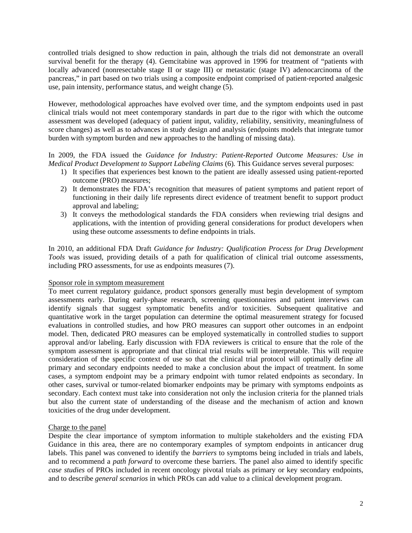controlled trials designed to show reduction in pain, although the trials did not demonstrate an overall survival benefit for the therapy (4). Gemcitabine was approved in 1996 for treatment of "patients with locally advanced (nonresectable stage II or stage III) or metastatic (stage IV) adenocarcinoma of the pancreas," in part based on two trials using a composite endpoint comprised of patient-reported analgesic use, pain intensity, performance status, and weight change (5).

However, methodological approaches have evolved over time, and the symptom endpoints used in past clinical trials would not meet contemporary standards in part due to the rigor with which the outcome assessment was developed (adequacy of patient input, validity, reliability, sensitivity, meaningfulness of score changes) as well as to advances in study design and analysis (endpoints models that integrate tumor burden with symptom burden and new approaches to the handling of missing data).

In 2009, the FDA issued the *Guidance for Industry: Patient-Reported Outcome Measures: Use in Medical Product Development to Support Labeling Claims* (6). This Guidance serves several purposes:

- 1) It specifies that experiences best known to the patient are ideally assessed using patient-reported outcome (PRO) measures;
- 2) It demonstrates the FDA's recognition that measures of patient symptoms and patient report of functioning in their daily life represents direct evidence of treatment benefit to support product approval and labeling;
- 3) It conveys the methodological standards the FDA considers when reviewing trial designs and applications, with the intention of providing general considerations for product developers when using these outcome assessments to define endpoints in trials.

In 2010, an additional FDA Draft *Guidance for Industry: Qualification Process for Drug Development Tools* was issued, providing details of a path for qualification of clinical trial outcome assessments, including PRO assessments, for use as endpoints measures (7).

#### Sponsor role in symptom measurement

To meet current regulatory guidance, product sponsors generally must begin development of symptom assessments early. During early-phase research, screening questionnaires and patient interviews can identify signals that suggest symptomatic benefits and/or toxicities. Subsequent qualitative and quantitative work in the target population can determine the optimal measurement strategy for focused evaluations in controlled studies, and how PRO measures can support other outcomes in an endpoint model. Then, dedicated PRO measures can be employed systematically in controlled studies to support approval and/or labeling. Early discussion with FDA reviewers is critical to ensure that the role of the symptom assessment is appropriate and that clinical trial results will be interpretable. This will require consideration of the specific context of use so that the clinical trial protocol will optimally define all primary and secondary endpoints needed to make a conclusion about the impact of treatment. In some cases, a symptom endpoint may be a primary endpoint with tumor related endpoints as secondary. In other cases, survival or tumor-related biomarker endpoints may be primary with symptoms endpoints as secondary. Each context must take into consideration not only the inclusion criteria for the planned trials but also the current state of understanding of the disease and the mechanism of action and known toxicities of the drug under development.

#### Charge to the panel

Despite the clear importance of symptom information to multiple stakeholders and the existing FDA Guidance in this area, there are no contemporary examples of symptom endpoints in anticancer drug labels. This panel was convened to identify the *barriers* to symptoms being included in trials and labels, and to recommend a *path forward* to overcome these barriers. The panel also aimed to identify specific *case studies* of PROs included in recent oncology pivotal trials as primary or key secondary endpoints, and to describe *general scenarios* in which PROs can add value to a clinical development program.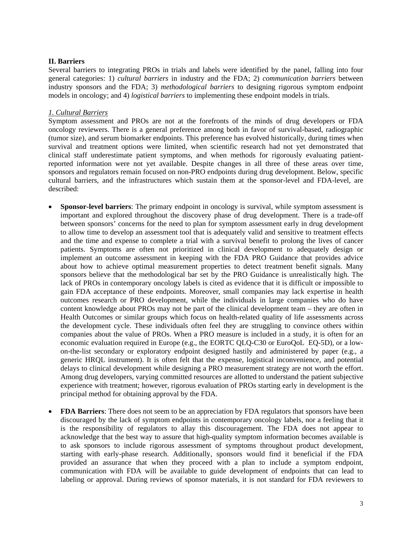### **II. Barriers**

Several barriers to integrating PROs in trials and labels were identified by the panel, falling into four general categories: 1) *cultural barriers* in industry and the FDA; 2) *communication barriers* between industry sponsors and the FDA; 3) *methodological barriers* to designing rigorous symptom endpoint models in oncology; and 4) *logistical barriers* to implementing these endpoint models in trials.

### *1. Cultural Barriers*

Symptom assessment and PROs are not at the forefronts of the minds of drug developers or FDA oncology reviewers. There is a general preference among both in favor of survival-based, radiographic (tumor size), and serum biomarker endpoints. This preference has evolved historically, during times when survival and treatment options were limited, when scientific research had not yet demonstrated that clinical staff underestimate patient symptoms, and when methods for rigorously evaluating patientreported information were not yet available. Despite changes in all three of these areas over time, sponsors and regulators remain focused on non-PRO endpoints during drug development. Below, specific cultural barriers, and the infrastructures which sustain them at the sponsor-level and FDA-level, are described:

- **Sponsor-level barriers**: The primary endpoint in oncology is survival, while symptom assessment is important and explored throughout the discovery phase of drug development. There is a trade-off between sponsors' concerns for the need to plan for symptom assessment early in drug development to allow time to develop an assessment tool that is adequately valid and sensitive to treatment effects and the time and expense to complete a trial with a survival benefit to prolong the lives of cancer patients. Symptoms are often not prioritized in clinical development to adequately design or implement an outcome assessment in keeping with the FDA PRO Guidance that provides advice about how to achieve optimal measurement properties to detect treatment benefit signals. Many sponsors believe that the methodological bar set by the PRO Guidance is unrealistically high. The lack of PROs in contemporary oncology labels is cited as evidence that it is difficult or impossible to gain FDA acceptance of these endpoints. Moreover, small companies may lack expertise in health outcomes research or PRO development, while the individuals in large companies who do have content knowledge about PROs may not be part of the clinical development team – they are often in Health Outcomes or similar groups which focus on health-related quality of life assessments across the development cycle. These individuals often feel they are struggling to convince others within companies about the value of PROs. When a PRO measure is included in a study, it is often for an economic evaluation required in Europe (e.g., the EORTC QLQ-C30 or EuroQoL EQ-5D), or a lowon-the-list secondary or exploratory endpoint designed hastily and administered by paper (e.g., a generic HRQL instrument). It is often felt that the expense, logistical inconvenience, and potential delays to clinical development while designing a PRO measurement strategy are not worth the effort. Among drug developers, varying committed resources are allotted to understand the patient subjective experience with treatment; however, rigorous evaluation of PROs starting early in development is the principal method for obtaining approval by the FDA.
- **FDA Barriers**: There does not seem to be an appreciation by FDA regulators that sponsors have been discouraged by the lack of symptom endpoints in contemporary oncology labels, nor a feeling that it is the responsibility of regulators to allay this discouragement. The FDA does not appear to acknowledge that the best way to assure that high-quality symptom information becomes available is to ask sponsors to include rigorous assessment of symptoms throughout product development, starting with early-phase research. Additionally, sponsors would find it beneficial if the FDA provided an assurance that when they proceed with a plan to include a symptom endpoint, communication with FDA will be available to guide development of endpoints that can lead to labeling or approval. During reviews of sponsor materials, it is not standard for FDA reviewers to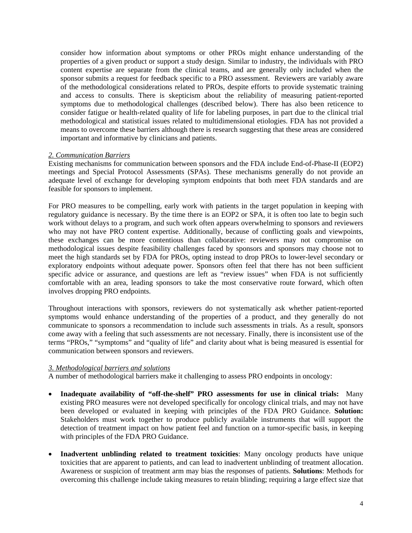consider how information about symptoms or other PROs might enhance understanding of the properties of a given product or support a study design. Similar to industry, the individuals with PRO content expertise are separate from the clinical teams, and are generally only included when the sponsor submits a request for feedback specific to a PRO assessment. Reviewers are variably aware of the methodological considerations related to PROs, despite efforts to provide systematic training and access to consults. There is skepticism about the reliability of measuring patient-reported symptoms due to methodological challenges (described below). There has also been reticence to consider fatigue or health-related quality of life for labeling purposes, in part due to the clinical trial methodological and statistical issues related to multidimensional etiologies. FDA has not provided a means to overcome these barriers although there is research suggesting that these areas are considered important and informative by clinicians and patients.

### *2. Communication Barriers*

Existing mechanisms for communication between sponsors and the FDA include End-of-Phase-II (EOP2) meetings and Special Protocol Assessments (SPAs). These mechanisms generally do not provide an adequate level of exchange for developing symptom endpoints that both meet FDA standards and are feasible for sponsors to implement.

For PRO measures to be compelling, early work with patients in the target population in keeping with regulatory guidance is necessary. By the time there is an EOP2 or SPA, it is often too late to begin such work without delays to a program, and such work often appears overwhelming to sponsors and reviewers who may not have PRO content expertise. Additionally, because of conflicting goals and viewpoints, these exchanges can be more contentious than collaborative: reviewers may not compromise on methodological issues despite feasibility challenges faced by sponsors and sponsors may choose not to meet the high standards set by FDA for PROs, opting instead to drop PROs to lower-level secondary or exploratory endpoints without adequate power. Sponsors often feel that there has not been sufficient specific advice or assurance, and questions are left as "review issues" when FDA is not sufficiently comfortable with an area, leading sponsors to take the most conservative route forward, which often involves dropping PRO endpoints.

Throughout interactions with sponsors, reviewers do not systematically ask whether patient-reported symptoms would enhance understanding of the properties of a product, and they generally do not communicate to sponsors a recommendation to include such assessments in trials. As a result, sponsors come away with a feeling that such assessments are not necessary. Finally, there is inconsistent use of the terms "PROs," "symptoms" and "quality of life" and clarity about what is being measured is essential for communication between sponsors and reviewers.

#### *3. Methodological barriers and solutions*

A number of methodological barriers make it challenging to assess PRO endpoints in oncology:

- **Inadequate availability of "off-the-shelf" PRO assessments for use in clinical trials:** Many existing PRO measures were not developed specifically for oncology clinical trials, and may not have been developed or evaluated in keeping with principles of the FDA PRO Guidance. **Solution:** Stakeholders must work together to produce publicly available instruments that will support the detection of treatment impact on how patient feel and function on a tumor-specific basis, in keeping with principles of the FDA PRO Guidance.
- **Inadvertent unblinding related to treatment toxicities**: Many oncology products have unique toxicities that are apparent to patients, and can lead to inadvertent unblinding of treatment allocation. Awareness or suspicion of treatment arm may bias the responses of patients. **Solutions**: Methods for overcoming this challenge include taking measures to retain blinding; requiring a large effect size that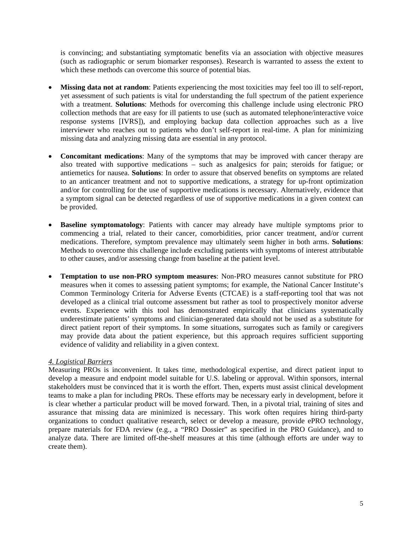is convincing; and substantiating symptomatic benefits via an association with objective measures (such as radiographic or serum biomarker responses). Research is warranted to assess the extent to which these methods can overcome this source of potential bias.

- **Missing data not at random**: Patients experiencing the most toxicities may feel too ill to self-report, yet assessment of such patients is vital for understanding the full spectrum of the patient experience with a treatment. **Solutions**: Methods for overcoming this challenge include using electronic PRO collection methods that are easy for ill patients to use (such as automated telephone/interactive voice response systems [IVRS]), and employing backup data collection approaches such as a live interviewer who reaches out to patients who don't self-report in real-time. A plan for minimizing missing data and analyzing missing data are essential in any protocol.
- **Concomitant medications**: Many of the symptoms that may be improved with cancer therapy are also treated with supportive medications – such as analgesics for pain; steroids for fatigue; or antiemetics for nausea. **Solutions**: In order to assure that observed benefits on symptoms are related to an anticancer treatment and not to supportive medications, a strategy for up-front optimization and/or for controlling for the use of supportive medications is necessary. Alternatively, evidence that a symptom signal can be detected regardless of use of supportive medications in a given context can be provided.
- **Baseline symptomatology**: Patients with cancer may already have multiple symptoms prior to commencing a trial, related to their cancer, comorbidities, prior cancer treatment, and/or current medications. Therefore, symptom prevalence may ultimately seem higher in both arms. **Solutions**: Methods to overcome this challenge include excluding patients with symptoms of interest attributable to other causes, and/or assessing change from baseline at the patient level.
- **Temptation to use non-PRO symptom measures**: Non-PRO measures cannot substitute for PRO measures when it comes to assessing patient symptoms; for example, the National Cancer Institute's Common Terminology Criteria for Adverse Events (CTCAE) is a staff-reporting tool that was not developed as a clinical trial outcome assessment but rather as tool to prospectively monitor adverse events. Experience with this tool has demonstrated empirically that clinicians systematically underestimate patients' symptoms and clinician-generated data should not be used as a substitute for direct patient report of their symptoms. In some situations, surrogates such as family or caregivers may provide data about the patient experience, but this approach requires sufficient supporting evidence of validity and reliability in a given context.

### *4. Logistical Barriers*

Measuring PROs is inconvenient. It takes time, methodological expertise, and direct patient input to develop a measure and endpoint model suitable for U.S. labeling or approval. Within sponsors, internal stakeholders must be convinced that it is worth the effort. Then, experts must assist clinical development teams to make a plan for including PROs. These efforts may be necessary early in development, before it is clear whether a particular product will be moved forward. Then, in a pivotal trial, training of sites and assurance that missing data are minimized is necessary. This work often requires hiring third-party organizations to conduct qualitative research, select or develop a measure, provide ePRO technology, prepare materials for FDA review (e.g., a "PRO Dossier" as specified in the PRO Guidance), and to analyze data. There are limited off-the-shelf measures at this time (although efforts are under way to create them).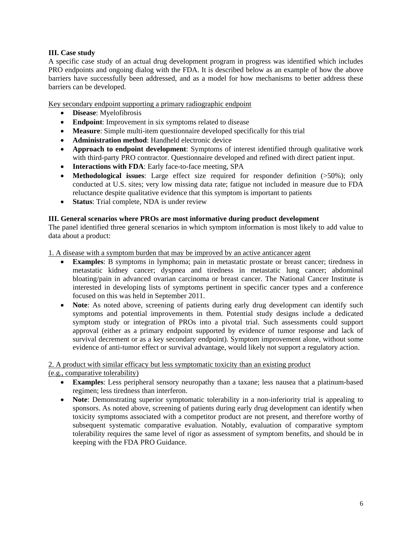## **III. Case study**

A specific case study of an actual drug development program in progress was identified which includes PRO endpoints and ongoing dialog with the FDA. It is described below as an example of how the above barriers have successfully been addressed, and as a model for how mechanisms to better address these barriers can be developed.

Key secondary endpoint supporting a primary radiographic endpoint

- **Disease**: Myelofibrosis
- **Endpoint:** Improvement in six symptoms related to disease
- **Measure**: Simple multi-item questionnaire developed specifically for this trial
- **Administration method**: Handheld electronic device
- **Approach to endpoint development**: Symptoms of interest identified through qualitative work with third-party PRO contractor. Questionnaire developed and refined with direct patient input.
- **Interactions with FDA**: Early face-to-face meeting, SPA
- **Methodological issues**: Large effect size required for responder definition (>50%); only conducted at U.S. sites; very low missing data rate; fatigue not included in measure due to FDA reluctance despite qualitative evidence that this symptom is important to patients
- **Status**: Trial complete, NDA is under review

## **III. General scenarios where PROs are most informative during product development**

The panel identified three general scenarios in which symptom information is most likely to add value to data about a product:

1. A disease with a symptom burden that may be improved by an active anticancer agent

- **Examples**: B symptoms in lymphoma; pain in metastatic prostate or breast cancer; tiredness in metastatic kidney cancer; dyspnea and tiredness in metastatic lung cancer; abdominal bloating/pain in advanced ovarian carcinoma or breast cancer. The National Cancer Institute is interested in developing lists of symptoms pertinent in specific cancer types and a conference focused on this was held in September 2011.
- **Note**: As noted above, screening of patients during early drug development can identify such symptoms and potential improvements in them. Potential study designs include a dedicated symptom study or integration of PROs into a pivotal trial. Such assessments could support approval (either as a primary endpoint supported by evidence of tumor response and lack of survival decrement or as a key secondary endpoint). Symptom improvement alone, without some evidence of anti-tumor effect or survival advantage, would likely not support a regulatory action.

2. A product with similar efficacy but less symptomatic toxicity than an existing product (e.g., comparative tolerability)

- **Examples**: Less peripheral sensory neuropathy than a taxane; less nausea that a platinum-based regimen; less tiredness than interferon.
- **Note**: Demonstrating superior symptomatic tolerability in a non-inferiority trial is appealing to sponsors. As noted above, screening of patients during early drug development can identify when toxicity symptoms associated with a competitor product are not present, and therefore worthy of subsequent systematic comparative evaluation. Notably, evaluation of comparative symptom tolerability requires the same level of rigor as assessment of symptom benefits, and should be in keeping with the FDA PRO Guidance.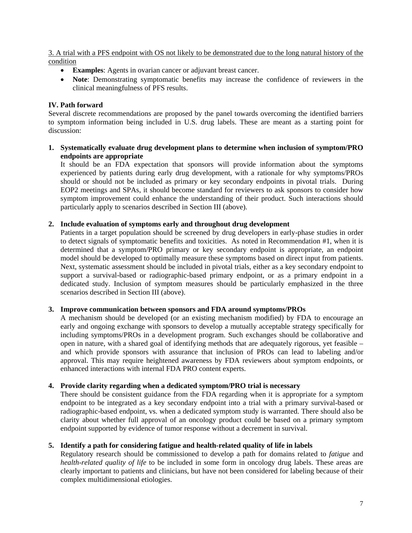3. A trial with a PFS endpoint with OS not likely to be demonstrated due to the long natural history of the condition

- **Examples**: Agents in ovarian cancer or adjuvant breast cancer.
- **Note**: Demonstrating symptomatic benefits may increase the confidence of reviewers in the clinical meaningfulness of PFS results.

## **IV. Path forward**

Several discrete recommendations are proposed by the panel towards overcoming the identified barriers to symptom information being included in U.S. drug labels. These are meant as a starting point for discussion:

**1. Systematically evaluate drug development plans to determine when inclusion of symptom/PRO endpoints are appropriate** 

It should be an FDA expectation that sponsors will provide information about the symptoms experienced by patients during early drug development, with a rationale for why symptoms/PROs should or should not be included as primary or key secondary endpoints in pivotal trials. During EOP2 meetings and SPAs, it should become standard for reviewers to ask sponsors to consider how symptom improvement could enhance the understanding of their product. Such interactions should particularly apply to scenarios described in Section III (above).

### **2. Include evaluation of symptoms early and throughout drug development**

Patients in a target population should be screened by drug developers in early-phase studies in order to detect signals of symptomatic benefits and toxicities. As noted in Recommendation #1, when it is determined that a symptom/PRO primary or key secondary endpoint is appropriate, an endpoint model should be developed to optimally measure these symptoms based on direct input from patients. Next, systematic assessment should be included in pivotal trials, either as a key secondary endpoint to support a survival-based or radiographic-based primary endpoint, or as a primary endpoint in a dedicated study. Inclusion of symptom measures should be particularly emphasized in the three scenarios described in Section III (above).

### **3. Improve communication between sponsors and FDA around symptoms/PROs**

A mechanism should be developed (or an existing mechanism modified) by FDA to encourage an early and ongoing exchange with sponsors to develop a mutually acceptable strategy specifically for including symptoms/PROs in a development program. Such exchanges should be collaborative and open in nature, with a shared goal of identifying methods that are adequately rigorous, yet feasible – and which provide sponsors with assurance that inclusion of PROs can lead to labeling and/or approval. This may require heightened awareness by FDA reviewers about symptom endpoints, or enhanced interactions with internal FDA PRO content experts.

### **4. Provide clarity regarding when a dedicated symptom/PRO trial is necessary**

There should be consistent guidance from the FDA regarding when it is appropriate for a symptom endpoint to be integrated as a key secondary endpoint into a trial with a primary survival-based or radiographic-based endpoint, vs. when a dedicated symptom study is warranted. There should also be clarity about whether full approval of an oncology product could be based on a primary symptom endpoint supported by evidence of tumor response without a decrement in survival.

### **5. Identify a path for considering fatigue and health-related quality of life in labels**

Regulatory research should be commissioned to develop a path for domains related to *fatigue* and *health-related quality of life* to be included in some form in oncology drug labels. These areas are clearly important to patients and clinicians, but have not been considered for labeling because of their complex multidimensional etiologies.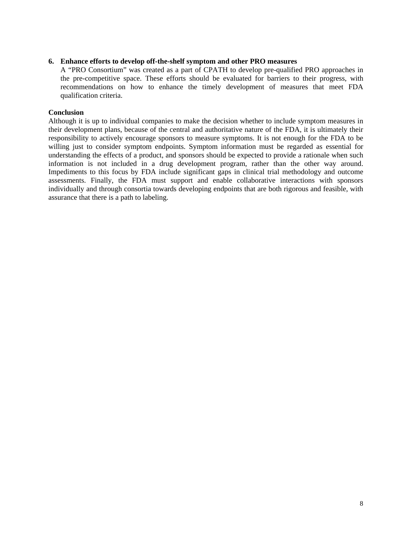### **6. Enhance efforts to develop off-the-shelf symptom and other PRO measures**

A "PRO Consortium" was created as a part of CPATH to develop pre-qualified PRO approaches in the pre-competitive space. These efforts should be evaluated for barriers to their progress, with recommendations on how to enhance the timely development of measures that meet FDA qualification criteria.

#### **Conclusion**

Although it is up to individual companies to make the decision whether to include symptom measures in their development plans, because of the central and authoritative nature of the FDA, it is ultimately their responsibility to actively encourage sponsors to measure symptoms. It is not enough for the FDA to be willing just to consider symptom endpoints. Symptom information must be regarded as essential for understanding the effects of a product, and sponsors should be expected to provide a rationale when such information is not included in a drug development program, rather than the other way around. Impediments to this focus by FDA include significant gaps in clinical trial methodology and outcome assessments. Finally, the FDA must support and enable collaborative interactions with sponsors individually and through consortia towards developing endpoints that are both rigorous and feasible, with assurance that there is a path to labeling.